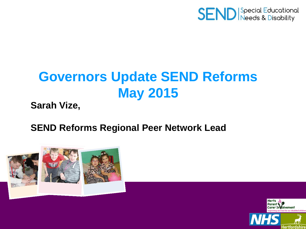

# **Governors Update SEND Reforms May 2015**

**Sarah Vize,**

#### **SEND Reforms Regional Peer Network Lead**



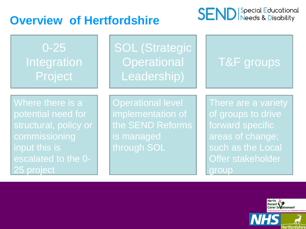### **Overview of Hertfordshire**



variety

Local

| $0 - 25$<br><b>Integration</b><br>Project                                                                                              | <b>SOL (Strategic</b><br>Operational<br>Leadership)                                            | T&F groups                                                                                                                        |
|----------------------------------------------------------------------------------------------------------------------------------------|------------------------------------------------------------------------------------------------|-----------------------------------------------------------------------------------------------------------------------------------|
| Where there is a<br>potential need for<br>structural, policy or<br>commissioning<br>input this is<br>escalated to the 0-<br>25 project | <b>Operational level</b><br>implementation of<br>the SEND Reforms<br>is managed<br>through SOL | There are a varie<br>of groups to drive<br>forward specific<br>areas of change;<br>such as the Loca<br>Offer stakeholder<br>group |

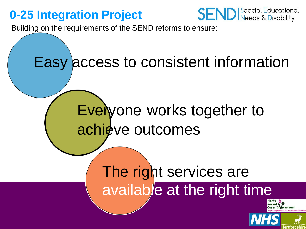### **0-25 Integration Project**



Building on the requirements of the SEND reforms to ensure:

# Easy access to consistent information

# Everyone works together to achieve outcomes

# The right services are available at the right time

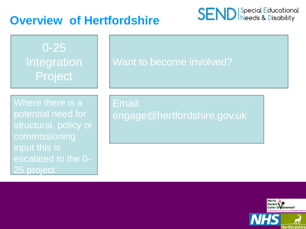#### **Overview of Hertfordshire**



0-25 **Integration** Project

#### Want to become involved?

Where there is a potential need for structural, policy or commissioning input this is escalated to the 0- 25 project

Email: engage@hertfordshire.gov.uk

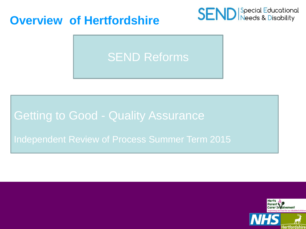#### **Overview of Hertfordshire**



# SEND Reforms

#### **Getting to Good - Quality Assurance**

#### Independent Review of Process Summer Term 2015

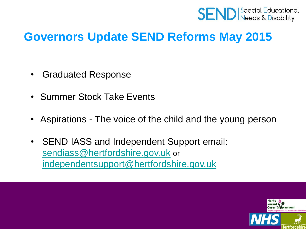

### **Governors Update SEND Reforms May 2015**

- Graduated Response
- Summer Stock Take Events
- Aspirations The voice of the child and the young person
- SEND IASS and Independent Support email: [sendiass@hertfordshire.gov.uk](mailto:sendiass@hertfordshire.gov.uk) or [independentsupport@hertfordshire.gov.uk](mailto:independentsupport@hertfordshire.gov.uk)

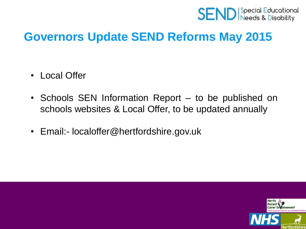

### **Governors Update SEND Reforms May 2015**

- Local Offer
- Schools SEN Information Report to be published on schools websites & Local Offer, to be updated annually
- Email:- localoffer@hertfordshire.gov.uk

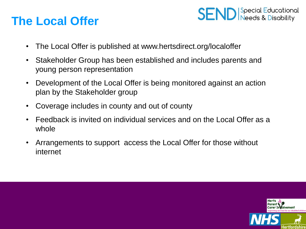### **The Local Offer**



- The Local Offer is published at www.hertsdirect.org/localoffer
- Stakeholder Group has been established and includes parents and young person representation
- Development of the Local Offer is being monitored against an action plan by the Stakeholder group
- Coverage includes in county and out of county
- Feedback is invited on individual services and on the Local Offer as a whole
- Arrangements to support access the Local Offer for those without internet

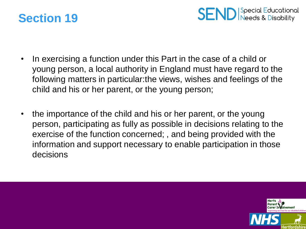



- In exercising a function under this Part in the case of a child or young person, a local authority in England must have regard to the following matters in particular:the views, wishes and feelings of the child and his or her parent, or the young person;
- the importance of the child and his or her parent, or the young person, participating as fully as possible in decisions relating to the exercise of the function concerned; , and being provided with the information and support necessary to enable participation in those decisions

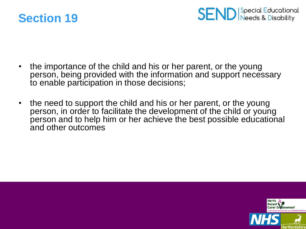



- the importance of the child and his or her parent, or the young person, being provided with the information and support necessary to enable participation in those decisions;
- the need to support the child and his or her parent, or the young person, in order to facilitate the development of the child or young person and to help him or her achieve the best possible educational and other outcomes

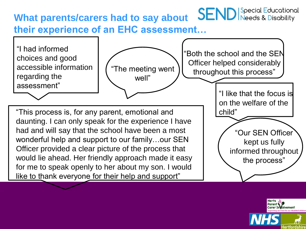#### **SEND** Special Educational **What parents/carers had to say about their experience of an EHC assessment…**



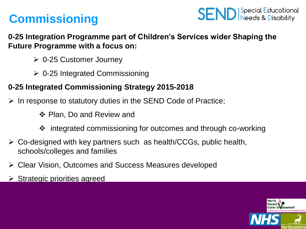## **Commissioning**



**0-25 Integration Programme part of Children's Services wider Shaping the Future Programme with a focus on:**

- 0-25 Customer Journey
- $\geq 0$ -25 Integrated Commissioning

#### **0-25 Integrated Commissioning Strategy 2015-2018**

- $\triangleright$  In response to statutory duties in the SEND Code of Practice;
	- ❖ Plan, Do and Review and
	- integrated commissioning for outcomes and through co-working
- $\triangleright$  Co-designed with key partners such as health/CCGs, public health, schools/colleges and families
- Clear Vision, Outcomes and Success Measures developed
- $\triangleright$  Strategic priorities agreed

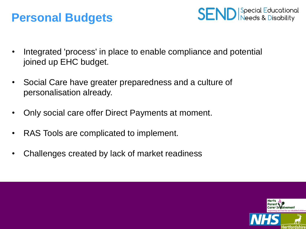### **Personal Budgets**



- Integrated 'process' in place to enable compliance and potential joined up EHC budget.
- Social Care have greater preparedness and a culture of personalisation already.
- Only social care offer Direct Payments at moment.
- RAS Tools are complicated to implement.
- Challenges created by lack of market readiness

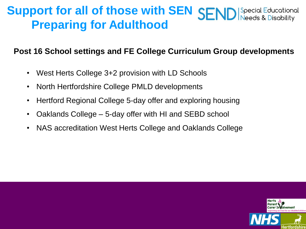#### **Support for all of those with SEN SEND** Special Educational<br>Needs & Disability **Preparing for Adulthood**

#### **Post 16 School settings and FE College Curriculum Group developments**

- West Herts College 3+2 provision with LD Schools
- North Hertfordshire College PMLD developments
- Hertford Regional College 5-day offer and exploring housing
- Oaklands College 5-day offer with HI and SEBD school
- NAS accreditation West Herts College and Oaklands College

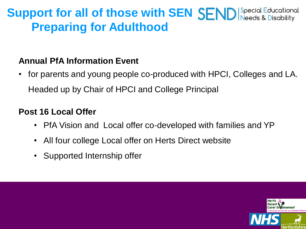## **Support for all of those with SEN SEND** Special Educational **Preparing for Adulthood**

#### **Annual PfA Information Event**

• for parents and young people co-produced with HPCI, Colleges and LA. Headed up by Chair of HPCI and College Principal

#### **Post 16 Local Offer**

- PfA Vision and Local offer co-developed with families and YP
- All four college Local offer on Herts Direct website
- Supported Internship offer

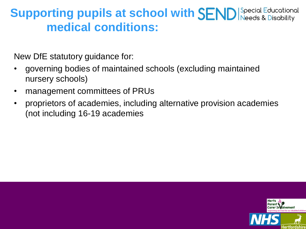## **Supporting pupils at school with SEND** Special Educational **medical conditions:**

New DfE statutory guidance for:

- governing bodies of maintained schools (excluding maintained nursery schools)
- management committees of PRUs
- proprietors of academies, including alternative provision academies (not including 16-19 academies

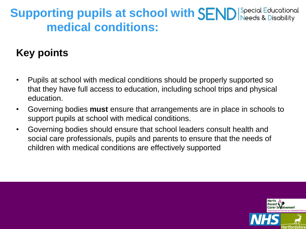## **Supporting pupils at school with SEND** Special Educational **medical conditions:**

### **Key points**

- Pupils at school with medical conditions should be properly supported so that they have full access to education, including school trips and physical education.
- Governing bodies **must** ensure that arrangements are in place in schools to support pupils at school with medical conditions.
- Governing bodies should ensure that school leaders consult health and social care professionals, pupils and parents to ensure that the needs of children with medical conditions are effectively supported

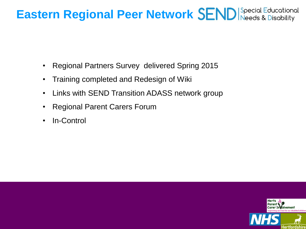## **Eastern Regional Peer Network SEND** Special Educational

- Regional Partners Survey delivered Spring 2015
- Training completed and Redesign of Wiki
- Links with SEND Transition ADASS network group
- Regional Parent Carers Forum
- In-Control